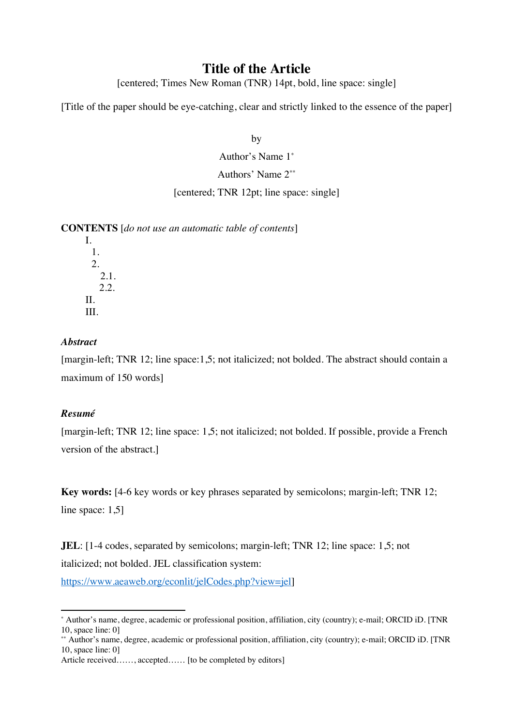# **Title of the Article**

[centered; Times New Roman (TNR) 14pt, bold, line space: single]

[Title of the paper should be eye-catching, clear and strictly linked to the essence of the paper]

by

Author's Name 1\*

Authors' Name 2\*\*

[centered; TNR 12pt; line space: single]

**CONTENTS** [*do not use an automatic table of contents*]

I. 1. 2. 2.1. 2.2. II. III.

# *Abstract*

[margin-left; TNR 12; line space:1,5; not italicized; not bolded. The abstract should contain a maximum of 150 words]

# *Resumé*

[margin-left; TNR 12; line space: 1,5; not italicized; not bolded. If possible, provide a French version of the abstract.]

**Key words:** [4-6 key words or key phrases separated by semicolons; margin-left; TNR 12; line space: 1,5]

**JEL**: [1-4 codes, separated by semicolons; margin-left; TNR 12; line space: 1,5; not italicized; not bolded. JEL classification system:

https://www.aeaweb.org/econlit/jelCodes.php?view=jel]

<sup>\*</sup> Author's name, degree, academic or professional position, affiliation, city (country); e-mail; ORCID iD. [TNR 10, space line: 0]

<sup>\*\*</sup> Author's name, degree, academic or professional position, affiliation, city (country); e-mail; ORCID iD. [TNR 10, space line: 0]

Article received……, accepted…… [to be completed by editors]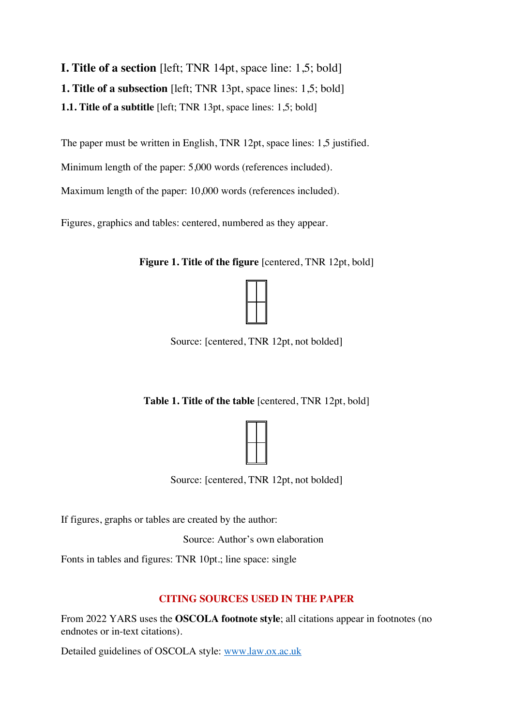**I. Title of a section** [left; TNR 14pt, space line: 1,5; bold] **1. Title of a subsection** [left; TNR 13pt, space lines: 1,5; bold] **1.1. Title of a subtitle** [left; TNR 13pt, space lines: 1,5; bold]

The paper must be written in English, TNR 12pt, space lines: 1,5 justified.

Minimum length of the paper: 5,000 words (references included).

Maximum length of the paper: 10,000 words (references included).

Figures, graphics and tables: centered, numbered as they appear.

**Figure 1. Title of the figure** [centered, TNR 12pt, bold]



Source: [centered, TNR 12pt, not bolded]

**Table 1. Title of the table** [centered, TNR 12pt, bold]



Source: [centered, TNR 12pt, not bolded]

If figures, graphs or tables are created by the author:

Source: Author's own elaboration

Fonts in tables and figures: TNR 10pt.; line space: single

# **CITING SOURCES USED IN THE PAPER**

From 2022 YARS uses the **OSCOLA footnote style**; all citations appear in footnotes (no endnotes or in-text citations).

Detailed guidelines of OSCOLA style: www.law.ox.ac.uk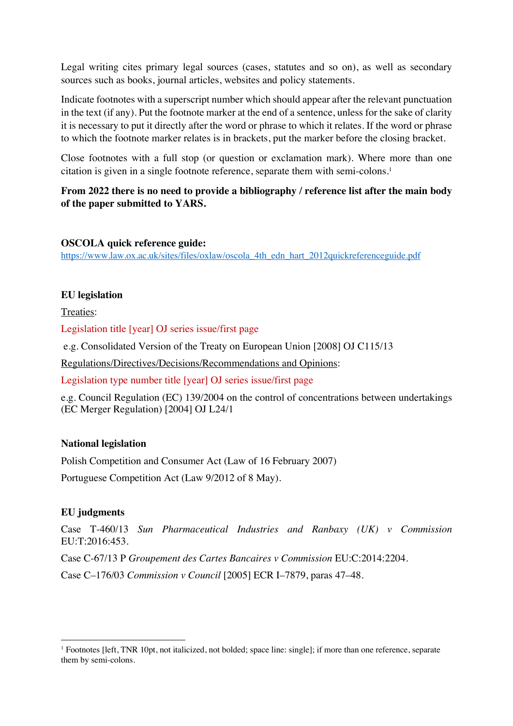Legal writing cites primary legal sources (cases, statutes and so on), as well as secondary sources such as books, journal articles, websites and policy statements.

Indicate footnotes with a superscript number which should appear after the relevant punctuation in the text (if any). Put the footnote marker at the end of a sentence, unless for the sake of clarity it is necessary to put it directly after the word or phrase to which it relates. If the word or phrase to which the footnote marker relates is in brackets, put the marker before the closing bracket.

Close footnotes with a full stop (or question or exclamation mark). Where more than one citation is given in a single footnote reference, separate them with semi-colons. 1

# **From 2022 there is no need to provide a bibliography / reference list after the main body of the paper submitted to YARS.**

## **OSCOLA quick reference guide:**

https://www.law.ox.ac.uk/sites/files/oxlaw/oscola\_4th\_edn\_hart\_2012quickreferenceguide.pdf

# **EU legislation**

Treaties:

Legislation title [year] OJ series issue/first page

e.g. Consolidated Version of the Treaty on European Union [2008] OJ C115/13

Regulations/Directives/Decisions/Recommendations and Opinions:

Legislation type number title [year] OJ series issue/first page

e.g. Council Regulation (EC) 139/2004 on the control of concentrations between undertakings (EC Merger Regulation) [2004] OJ L24/1

# **National legislation**

Polish Competition and Consumer Act (Law of 16 February 2007)

Portuguese Competition Act (Law 9/2012 of 8 May).

# **EU judgments**

Case T-460/13 *Sun Pharmaceutical Industries and Ranbaxy (UK) v Commission* EU:T:2016:453.

Case C-67/13 P *Groupement des Cartes Bancaires v Commission* EU:C:2014:2204.

Case C–176/03 *Commission v Council* [2005] ECR I–7879, paras 47–48.

<sup>1</sup> Footnotes [left, TNR 10pt, not italicized, not bolded; space line: single]; if more than one reference, separate them by semi-colons.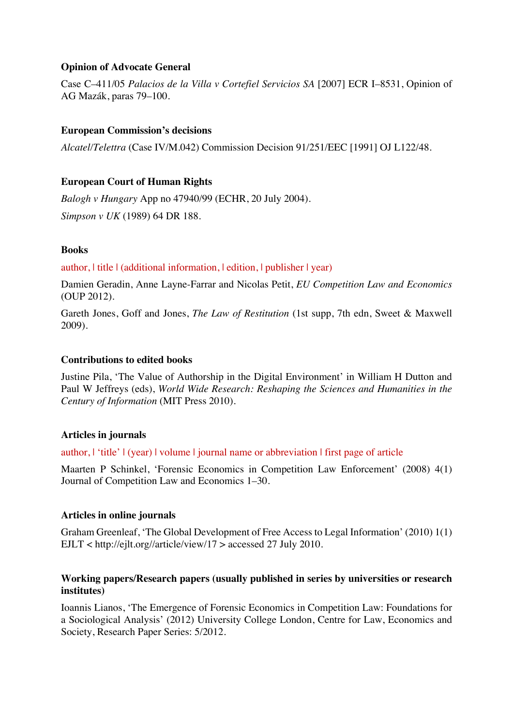# **Opinion of Advocate General**

Case C–411/05 *Palacios de la Villa v Cortefiel Servicios SA* [2007] ECR I–8531, Opinion of AG Mazák, paras 79–100.

# **European Commission's decisions**

*Alcatel/Telettra* (Case IV/M.042) Commission Decision 91/251/EEC [1991] OJ L122/48.

# **European Court of Human Rights**

*Balogh v Hungary* App no 47940/99 (ECHR, 20 July 2004). *Simpson v UK* (1989) 64 DR 188.

## **Books**

author, | title | (additional information, | edition, | publisher | year)

Damien Geradin, Anne Layne-Farrar and Nicolas Petit, *EU Competition Law and Economics* (OUP 2012).

Gareth Jones, Goff and Jones, *The Law of Restitution* (1st supp, 7th edn, Sweet & Maxwell 2009).

## **Contributions to edited books**

Justine Pila, 'The Value of Authorship in the Digital Environment' in William H Dutton and Paul W Jeffreys (eds), *World Wide Research: Reshaping the Sciences and Humanities in the Century of Information* (MIT Press 2010).

## **Articles in journals**

author, | 'title' | (year) | volume | journal name or abbreviation | first page of article

Maarten P Schinkel, 'Forensic Economics in Competition Law Enforcement' (2008) 4(1) Journal of Competition Law and Economics 1–30.

## **Articles in online journals**

Graham Greenleaf, 'The Global Development of Free Access to Legal Information' (2010) 1(1) EJLT < http://ejlt.org//article/view/17 > accessed 27 July 2010.

## **Working papers/Research papers (usually published in series by universities or research institutes)**

Ioannis Lianos, 'The Emergence of Forensic Economics in Competition Law: Foundations for a Sociological Analysis' (2012) University College London, Centre for Law, Economics and Society, Research Paper Series: 5/2012.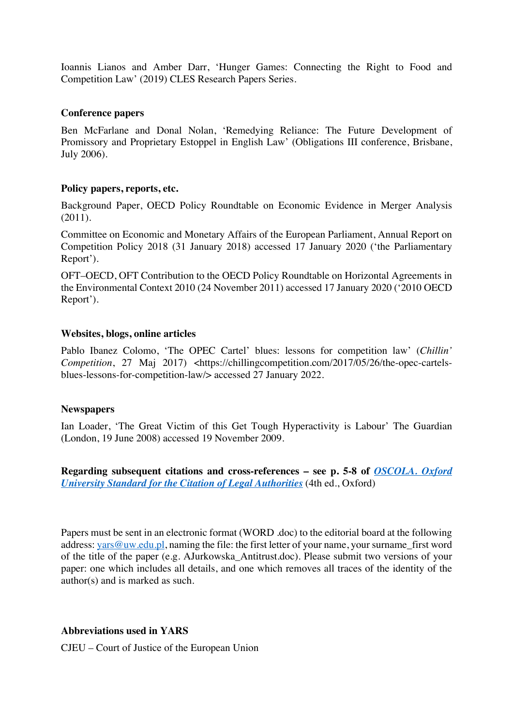Ioannis Lianos and Amber Darr, 'Hunger Games: Connecting the Right to Food and Competition Law' (2019) CLES Research Papers Series.

#### **Conference papers**

Ben McFarlane and Donal Nolan, 'Remedying Reliance: The Future Development of Promissory and Proprietary Estoppel in English Law' (Obligations III conference, Brisbane, July 2006).

## **Policy papers, reports, etc.**

Background Paper, OECD Policy Roundtable on Economic Evidence in Merger Analysis (2011).

Committee on Economic and Monetary Affairs of the European Parliament, Annual Report on Competition Policy 2018 (31 January 2018) accessed 17 January 2020 ('the Parliamentary Report').

OFT–OECD, OFT Contribution to the OECD Policy Roundtable on Horizontal Agreements in the Environmental Context 2010 (24 November 2011) accessed 17 January 2020 ('2010 OECD Report').

#### **Websites, blogs, online articles**

Pablo Ibanez Colomo, 'The OPEC Cartel' blues: lessons for competition law' (*Chillin' Competition*, 27 Maj 2017) <https://chillingcompetition.com/2017/05/26/the-opec-cartelsblues-lessons-for-competition-law/> accessed 27 January 2022.

#### **Newspapers**

Ian Loader, 'The Great Victim of this Get Tough Hyperactivity is Labour' The Guardian (London, 19 June 2008) accessed 19 November 2009.

**Regarding subsequent citations and cross-references – see p. 5-8 of** *OSCOLA. Oxford University Standard for the Citation of Legal Authorities* (4th ed., Oxford)

Papers must be sent in an electronic format (WORD .doc) to the editorial board at the following address: yars@uw.edu.pl, naming the file: the first letter of your name, your surname first word of the title of the paper (e.g. AJurkowska\_Antitrust.doc). Please submit two versions of your paper: one which includes all details, and one which removes all traces of the identity of the author(s) and is marked as such.

## **Abbreviations used in YARS**

CJEU – Court of Justice of the European Union